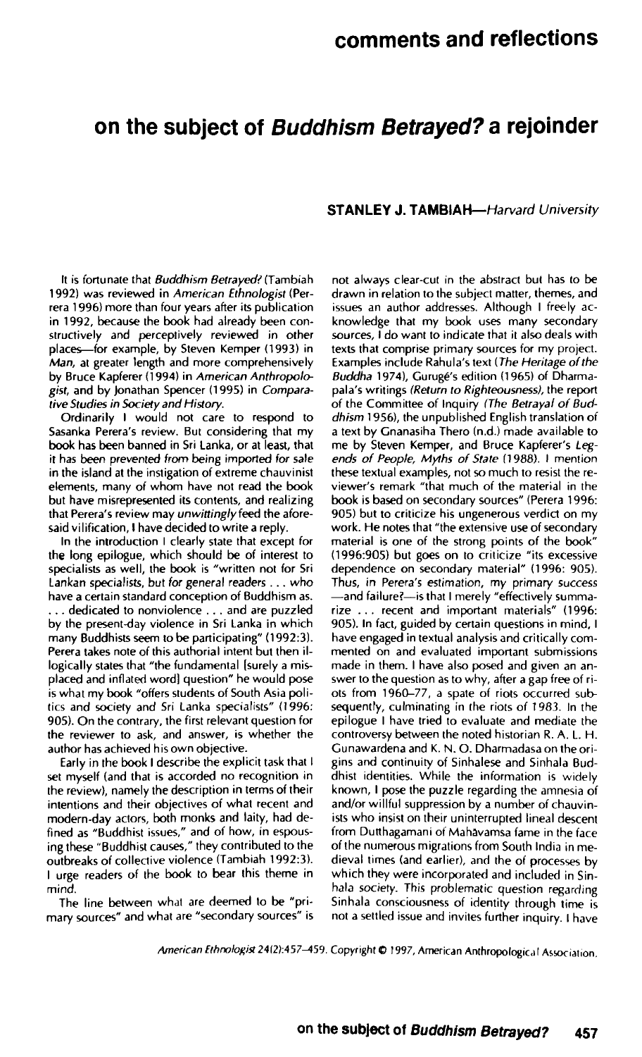## **on the subject of Buddhism Betrayed? a rejoinder**

## **STANLEY J. TAMBIAH—**Harvard University

It is fortunate that Buddhism Betrayed? (Tambiah 1992) was reviewed in American Ethnologist (Perrera 1996) more than four years after its publication in 1992, because the book had already been constructively and perceptively reviewed in other places—for example, by Steven Kemper (1993) in Man, at greater length and more comprehensively by Bruce Kapferer (1994) in American Anthropologist, and by Jonathan Spencer (1995) in Comparative Studies in Society and History.

Ordinarily I would not care to respond to Sasanka Perera's review. But considering that my book has been banned in Sri Lanka, or at least, that it has been prevented from being imported for sale in the island at the instigation of extreme chauvinist elements, many of whom have not read the book but have misrepresented its contents, and realizing that Perera's review may unwittingly feed the aforesaid vilification, I have decided to write a reply.

In the introduction I clearly state that except for the long epilogue, which should be of interest to specialists as well, the book is "written not for Sri Lankan specialists, but for general readers .. . who have a certain standard conception of Buddhism as. . . . dedicated to nonviolence . . . and are puzzled by the present-day violence in Sri Lanka in which many Buddhists seem to be participating" (1992:3). Perera takes note of this authorial intent but then illogically states that "the fundamental [surely a misplaced and inflated word] question" he would pose is what my book "offers students of South Asia politics and society and Sri Lanka specialists" (1996: 905). On the contrary, the first relevant question for the reviewer to ask, and answer, is whether the author has achieved his own objective.

Early in the book I describe the explicit task that I set myself (and that is accorded no recognition in the review), namely the description in terms of their intentions and their objectives of what recent and modern-day actors, both monks and laity, had defined as "Buddhist issues," and of how, in espousing these "Buddhist causes," they contributed to the outbreaks of collective violence (Tambiah 1992:3). I urge readers of the book to bear this theme in mind.

The line between what are deemed to be "primary sources" and what are "secondary sources" is

not always clear-cut in the abstract but has (o be drawn in relation to the subject matter, themes, and issues an author addresses. Although I freely acknowledge that my book uses many secondary sources, I do want to indicate that it also deals with texts that comprise primary sources for my project. Examples include Rahula's text (The Heritage of the Buddha 1974), Guruge's edition (1965) of Dharmapala's writings (Return to Righteousness), the report of the Committee of Inquiry (The Betrayal of Buddhism 1956), the unpublished English translation of a text by Gnanasiha Thero (n.d.) made available to me by Steven Kemper, and Bruce Kapferer's Legends of People, Myths of State (1988). I mention these textual examples, not so much to resist the reviewer's remark "that much of the material in the book is based on secondary sources" (Perera 1996: 905) but to criticize his ungenerous verdict on my work. He notes that "the extensive use of secondary material is one of the strong points of the book" (1996:905) but goes on to criticize "its excessive dependence on secondary material" (1996: 905). Thus, in Perera's estimation, my primary success —and failure?—is that I merely "effectively summarize . . . recent and important materials" (1996: 905). In fact, guided by certain questions in mind, I have engaged in textual analysis and critically commented on and evaluated important submissions made in them. I have also posed and given an answer to the question as to why, after a gap free of riots from 1960-77, a spate of riots occurred subsequently, culminating in the riots of 1983. In the epilogue I have tried to evaluate and mediate the controversy between the noted historian R. A. L. H. Gunawardena and K. N. O. Dharmadasa on the origins and continuity of Sinhalese and Sinhala Buddhist identities. While the information is widely example to puzzle regarding the publication is when  $\frac{1}{2}$  and  $\frac{1}{2}$  increased by a number of change of change of change of change of change of change of change of change of change of change of change of change of change of change of change of change of change of ch and/or willful suppression by a number of chauvinists who insist on their uninterrupted lineal descent from Dutthagamani of Mahavamsa fame-in the face of the numerous migrations from South India in medieval times (and earlier), and the of processes by which they were incorporated and included in Sinhala society. This problematic question regarding Sinhala consciousness of identity through time is<br>not a settled issue and invites further inquiry. I have

American Ethnologist 24(2):457-459. Copyright © 1997, American Anthropological Association.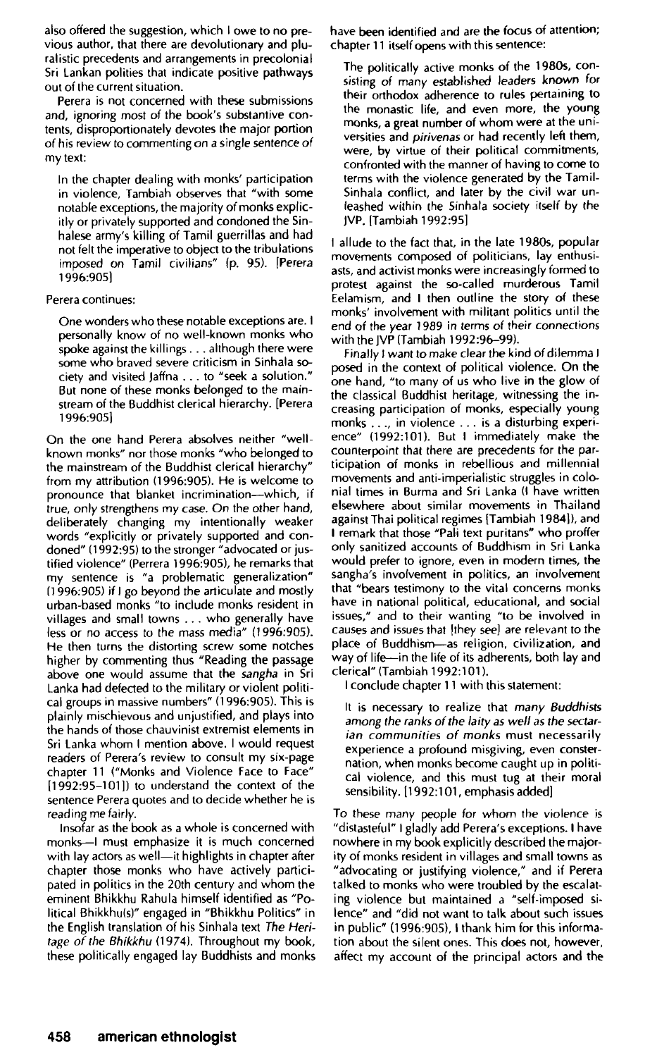also offered the suggestion, which I owe to no previous author, that there are devolutionary and pluralistic precedents and arrangements in precolonial Sri Lankan polities that indicate positive pathways out of the current situation.

Perera is not concerned with these submissions and, ignoring most of the book's substantive contents, disproportionately devotes the major portion of his review to commenting on a single sentence of my text:

In the chapter dealing with monks' participation in violence, Tambiah observes that "with some notable exceptions, the majority of monks explicitly or privately supported and condoned the Sinhalese army's killing of Tamil guerrillas and had not felt the imperative to object to the tribulations imposed on Tamil civilians" (p. 95). [Perera 1996:905]

## Perera continues:

One wonders who these notable exceptions are. I personally know of no well-known monks who spoke against the killings .. . although there were some who braved severe criticism in Sinhala society and visited Jaffna .. . to "seek a solution." But none of these monks belonged to the mainstream of the Buddhist clerical hierarchy. [Perera 1996:905]

On the one hand Perera absolves neither "wellknown monks" nor those monks "who belonged to the mainstream of the Buddhist clerical hierarchy" from my attribution (1996:905). He is welcome to pronounce that blanket incrimination—which, if true, only strengthens my case. On the other hand, deliberately changing my intentionally weaker words "explicitly or privately supported and condoned" (1992:95) to the stronger "advocated or justified violence" (Perrera 1996:905), he remarks that my sentence is "a problematic generalization" (1996:905) if I go beyond the articulate and mostly urban-based monks "to include monks resident in villages and small towns .. . who generally have less or no access to the mass media" (1996:905). He then turns the distorting screw some notches higher by commenting thus "Reading the passage above one would assume that the sangha in Sri Lanka had defected to the military or violent political groups in massive numbers" (1996:905). This is plainly mischievous and unjustified, and plays into the hands of those chauvinist extremist elements in Sri Lanka whom I mention above. I would request readers of Perera's review to consult my six-page chapter 11 ("Monks and Violence Face to Face" [1992:95-101]) to understand the context of the sentence Perera quotes and to decide whether he is reading me fairly.

Insofar as the book as a whole is concerned with monks—I must emphasize it is much concerned with lay actors as well—it highlights in chapter after chapter those monks who have actively participated in politics in the 20th century and whom the eminent Bhikkhu Rahula himself identified as "Political Bhikkhu(s)" engaged in "Bhikkhu Politics" in the English translation of his Sinhala text The Heritage of the Bhikkhu (1974). Throughout my book, these politically engaged lay Buddhists and monks have been identified and are the focus of attention; chapter 11 itself opens with this sentence:

The politically active monks of the 1980s, consisting of many established leaders known for their orthodox adherence to rules pertaining to the monastic life, and even more, the young monks, a great number of whom were at the universities and *pirivenas* or had recently left them, were, by virtue of their political commitments, confronted with the manner of having to come to terms with the violence generated by the Tamil-Sinhala conflict, and later by the civil war unleashed within the Sinhala society itself by the JVP. (Tambiah 1992:95]

I allude to the fact that, in the late 1980s, popular movements composed of politicians, lay enthusiasts, and activist monks were increasingly formed to protest against the so-called murderous Tamil Eelamism, and I then outline the story of these monks' involvement with militant politics until the end of the year 1989 in terms of their connections with the JVP (Tambiah 1992:96-99).

Finally I want to make clear the kind of dilemma I posed in the context of political violence. On the one hand, "to many of us who live in the glow of the classical Buddhist heritage, witnessing the increasing participation of monks, especially young monks .. ., in violence .. . is a disturbing experience" (1992:101). But I immediately make the counterpoint that there are precedents for the participation of monks in rebellious and millennial movements and anti-imperialistic struggles in colonial times in Burma and Sri Lanka (I have written elsewhere about similar movements in Thailand against Thai political regimes [Tambiah 1984]), and I remark that those "Pali text puritans" who proffer only sanitized accounts of Buddhism in Sri Lanka would prefer to ignore, even in modern times, the sangha's involvement in politics, an involvement that "bears testimony to the vital concerns monks have in national political, educational, and social issues," and to their wanting "to be involved in causes and issues that [they see] are relevant to the place of Buddhism—as religion, civilization, and way of life—in the life of its adherents, both lay and clerical" (Tambiah 1992:101).

I conclude chapter 11 with this statement:

It is necessary to realize that many Buddhists among the ranks of the laity as well as the sectarian communities of monks must necessarily experience a profound misgiving, even consternation, when monks become caught up in political violence, and this must tug at their moral sensibility. [1992:101, emphasis added]

To these many people for whom the violence is "distasteful" I gladly add Perera's exceptions. I have nowhere in my book explicitly described the majority of monks resident in villages and small towns as "advocating or justifying violence," and if Perera talked to monks who were troubled by the escalating violence but maintained a "self-imposed silence" and "did not want to talk about such issues in public" (1996:905), I thank him for this information about the silent ones. This does not, however, affect my account of the principal actors and the